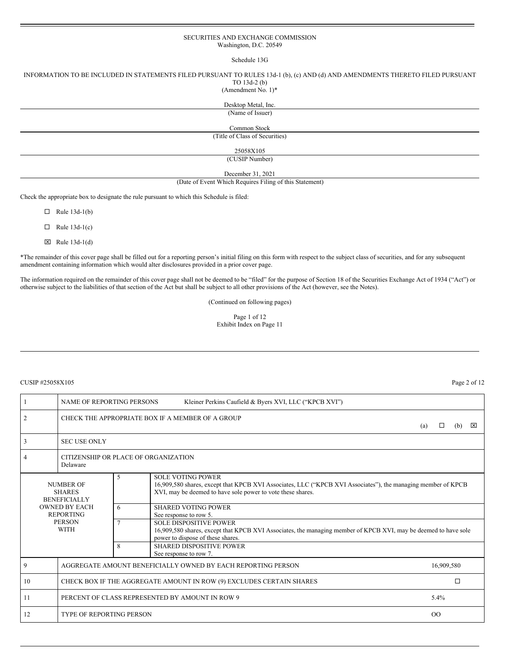### SECURITIES AND EXCHANGE COMMISSION Washington, D.C. 20549

#### Schedule 13G

INFORMATION TO BE INCLUDED IN STATEMENTS FILED PURSUANT TO RULES 13d-1 (b), (c) AND (d) AND AMENDMENTS THERETO FILED PURSUANT TO 13d-2 (b)

(Amendment No. 1)\*

Desktop Metal, Inc. (Name of Issuer)

Common Stock

(Title of Class of Securities)

25058X105

(CUSIP Number)

December 31, 2021

(Date of Event Which Requires Filing of this Statement)

Check the appropriate box to designate the rule pursuant to which this Schedule is filed:

 $\Box$  Rule 13d-1(b)

 $\Box$  Rule 13d-1(c)

 $\boxtimes$  Rule 13d-1(d)

\*The remainder of this cover page shall be filled out for a reporting person's initial filing on this form with respect to the subject class of securities, and for any subsequent amendment containing information which would alter disclosures provided in a prior cover page.

The information required on the remainder of this cover page shall not be deemed to be "filed" for the purpose of Section 18 of the Securities Exchange Act of 1934 ("Act") or otherwise subject to the liabilities of that section of the Act but shall be subject to all other provisions of the Act (however, see the Notes).

(Continued on following pages)

Page 1 of 12 Exhibit Index on Page 11

#### CUSIP #25058X105 Page 2 of 12

|                                                          | NAME OF REPORTING PERSONS<br>Kleiner Perkins Caufield & Byers XVI, LLC ("KPCB XVI") |                                                                               |                                                                                                                                                                                                         |  |  |  |  |  |  |
|----------------------------------------------------------|-------------------------------------------------------------------------------------|-------------------------------------------------------------------------------|---------------------------------------------------------------------------------------------------------------------------------------------------------------------------------------------------------|--|--|--|--|--|--|
| $\overline{2}$                                           |                                                                                     | CHECK THE APPROPRIATE BOX IF A MEMBER OF A GROUP<br>⊠<br>(a)<br>$\Box$<br>(b) |                                                                                                                                                                                                         |  |  |  |  |  |  |
| 3                                                        | <b>SEC USE ONLY</b>                                                                 |                                                                               |                                                                                                                                                                                                         |  |  |  |  |  |  |
| 4                                                        | Delaware                                                                            | CITIZENSHIP OR PLACE OF ORGANIZATION                                          |                                                                                                                                                                                                         |  |  |  |  |  |  |
| <b>NUMBER OF</b><br><b>SHARES</b><br><b>BENEFICIALLY</b> |                                                                                     | 5                                                                             | <b>SOLE VOTING POWER</b><br>16,909,580 shares, except that KPCB XVI Associates, LLC ("KPCB XVI Associates"), the managing member of KPCB<br>XVI, may be deemed to have sole power to vote these shares. |  |  |  |  |  |  |
|                                                          | <b>OWNED BY EACH</b><br><b>REPORTING</b>                                            |                                                                               | <b>SHARED VOTING POWER</b><br>See response to row 5.                                                                                                                                                    |  |  |  |  |  |  |
| <b>PERSON</b><br><b>WITH</b>                             |                                                                                     | $\overline{7}$                                                                | <b>SOLE DISPOSITIVE POWER</b><br>16,909,580 shares, except that KPCB XVI Associates, the managing member of KPCB XVI, may be deemed to have sole<br>power to dispose of these shares.                   |  |  |  |  |  |  |
|                                                          |                                                                                     | 8                                                                             | <b>SHARED DISPOSITIVE POWER</b><br>See response to row 7.                                                                                                                                               |  |  |  |  |  |  |
| 9                                                        | AGGREGATE AMOUNT BENEFICIALLY OWNED BY EACH REPORTING PERSON<br>16,909,580          |                                                                               |                                                                                                                                                                                                         |  |  |  |  |  |  |
| 10                                                       | $\Box$<br>CHECK BOX IF THE AGGREGATE AMOUNT IN ROW (9) EXCLUDES CERTAIN SHARES      |                                                                               |                                                                                                                                                                                                         |  |  |  |  |  |  |
| 11                                                       | PERCENT OF CLASS REPRESENTED BY AMOUNT IN ROW 9<br>5.4%                             |                                                                               |                                                                                                                                                                                                         |  |  |  |  |  |  |
| 12                                                       | <b>TYPE OF REPORTING PERSON</b><br>O <sub>O</sub>                                   |                                                                               |                                                                                                                                                                                                         |  |  |  |  |  |  |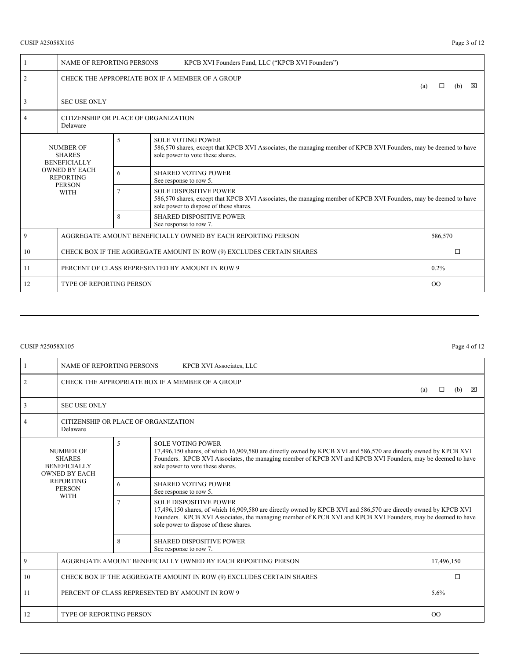# CUSIP #25058X105 Page 3 of 12

|                                                                                                                                      | NAME OF REPORTING PERSONS                                               |   | KPCB XVI Founders Fund, LLC ("KPCB XVI Founders")                                                                                                                                |                                                                                                                  |  |         |   |  |  |
|--------------------------------------------------------------------------------------------------------------------------------------|-------------------------------------------------------------------------|---|----------------------------------------------------------------------------------------------------------------------------------------------------------------------------------|------------------------------------------------------------------------------------------------------------------|--|---------|---|--|--|
| 2                                                                                                                                    | CHECK THE APPROPRIATE BOX IF A MEMBER OF A GROUP<br>(a)                 |   |                                                                                                                                                                                  |                                                                                                                  |  |         | ⊠ |  |  |
| 3                                                                                                                                    | <b>SEC USE ONLY</b>                                                     |   |                                                                                                                                                                                  |                                                                                                                  |  |         |   |  |  |
| $\overline{4}$                                                                                                                       | CITIZENSHIP OR PLACE OF ORGANIZATION<br>Delaware                        |   |                                                                                                                                                                                  |                                                                                                                  |  |         |   |  |  |
| <b>NUMBER OF</b><br><b>SHARES</b><br><b>BENEFICIALLY</b><br><b>OWNED BY EACH</b><br><b>REPORTING</b><br><b>PERSON</b><br><b>WITH</b> |                                                                         | 5 | <b>SOLE VOTING POWER</b><br>586,570 shares, except that KPCB XVI Associates, the managing member of KPCB XVI Founders, may be deemed to have<br>sole power to vote these shares. |                                                                                                                  |  |         |   |  |  |
|                                                                                                                                      |                                                                         | 6 | <b>SHARED VOTING POWER</b><br>See response to row 5.                                                                                                                             |                                                                                                                  |  |         |   |  |  |
|                                                                                                                                      |                                                                         | 7 | <b>SOLE DISPOSITIVE POWER</b><br>sole power to dispose of these shares.                                                                                                          | 586,570 shares, except that KPCB XVI Associates, the managing member of KPCB XVI Founders, may be deemed to have |  |         |   |  |  |
|                                                                                                                                      |                                                                         | 8 | <b>SHARED DISPOSITIVE POWER</b><br>See response to row 7.                                                                                                                        |                                                                                                                  |  |         |   |  |  |
| 9                                                                                                                                    | AGGREGATE AMOUNT BENEFICIALLY OWNED BY EACH REPORTING PERSON<br>586,570 |   |                                                                                                                                                                                  |                                                                                                                  |  |         |   |  |  |
| 10                                                                                                                                   | CHECK BOX IF THE AGGREGATE AMOUNT IN ROW (9) EXCLUDES CERTAIN SHARES    |   |                                                                                                                                                                                  |                                                                                                                  |  |         |   |  |  |
| 11                                                                                                                                   | PERCENT OF CLASS REPRESENTED BY AMOUNT IN ROW 9                         |   |                                                                                                                                                                                  |                                                                                                                  |  | $0.2\%$ |   |  |  |
| 12                                                                                                                                   | <b>TYPE OF REPORTING PERSON</b><br>$_{\rm OO}$                          |   |                                                                                                                                                                                  |                                                                                                                  |  |         |   |  |  |

# CUSIP #25058X105 Page 4 of 12

| $\mathbf{1}$                                                                                                                         | <b>NAME OF REPORTING PERSONS</b><br>KPCB XVI Associates, LLC         |                                                           |                                                                                                                                                                                                                                                                                                            |  |      |   |  |  |  |  |
|--------------------------------------------------------------------------------------------------------------------------------------|----------------------------------------------------------------------|-----------------------------------------------------------|------------------------------------------------------------------------------------------------------------------------------------------------------------------------------------------------------------------------------------------------------------------------------------------------------------|--|------|---|--|--|--|--|
| $\overline{c}$                                                                                                                       | CHECK THE APPROPRIATE BOX IF A MEMBER OF A GROUP<br>(a)<br>□         |                                                           |                                                                                                                                                                                                                                                                                                            |  |      |   |  |  |  |  |
| 3                                                                                                                                    | <b>SEC USE ONLY</b>                                                  |                                                           |                                                                                                                                                                                                                                                                                                            |  |      |   |  |  |  |  |
| 4                                                                                                                                    | Delaware                                                             | CITIZENSHIP OR PLACE OF ORGANIZATION                      |                                                                                                                                                                                                                                                                                                            |  |      |   |  |  |  |  |
| <b>NUMBER OF</b><br><b>SHARES</b><br><b>BENEFICIALLY</b><br><b>OWNED BY EACH</b><br><b>REPORTING</b><br><b>PERSON</b><br><b>WITH</b> |                                                                      | 5                                                         | <b>SOLE VOTING POWER</b><br>17,496,150 shares, of which 16,909,580 are directly owned by KPCB XVI and 586,570 are directly owned by KPCB XVI<br>Founders. KPCB XVI Associates, the managing member of KPCB XVI and KPCB XVI Founders, may be deemed to have<br>sole power to vote these shares.            |  |      |   |  |  |  |  |
|                                                                                                                                      |                                                                      | <b>SHARED VOTING POWER</b><br>6<br>See response to row 5. |                                                                                                                                                                                                                                                                                                            |  |      |   |  |  |  |  |
|                                                                                                                                      |                                                                      |                                                           | <b>SOLE DISPOSITIVE POWER</b><br>17,496,150 shares, of which 16,909,580 are directly owned by KPCB XVI and 586,570 are directly owned by KPCB XVI<br>Founders. KPCB XVI Associates, the managing member of KPCB XVI and KPCB XVI Founders, may be deemed to have<br>sole power to dispose of these shares. |  |      |   |  |  |  |  |
|                                                                                                                                      |                                                                      | 8                                                         | <b>SHARED DISPOSITIVE POWER</b><br>See response to row 7.                                                                                                                                                                                                                                                  |  |      |   |  |  |  |  |
| 9                                                                                                                                    | AGGREGATE AMOUNT BENEFICIALLY OWNED BY EACH REPORTING PERSON         |                                                           |                                                                                                                                                                                                                                                                                                            |  |      |   |  |  |  |  |
| 10                                                                                                                                   | CHECK BOX IF THE AGGREGATE AMOUNT IN ROW (9) EXCLUDES CERTAIN SHARES |                                                           |                                                                                                                                                                                                                                                                                                            |  |      | □ |  |  |  |  |
| 11                                                                                                                                   |                                                                      |                                                           | PERCENT OF CLASS REPRESENTED BY AMOUNT IN ROW 9                                                                                                                                                                                                                                                            |  | 5.6% |   |  |  |  |  |
| 12                                                                                                                                   | <b>TYPE OF REPORTING PERSON</b><br>$\overline{O}O$                   |                                                           |                                                                                                                                                                                                                                                                                                            |  |      |   |  |  |  |  |
|                                                                                                                                      |                                                                      |                                                           |                                                                                                                                                                                                                                                                                                            |  |      |   |  |  |  |  |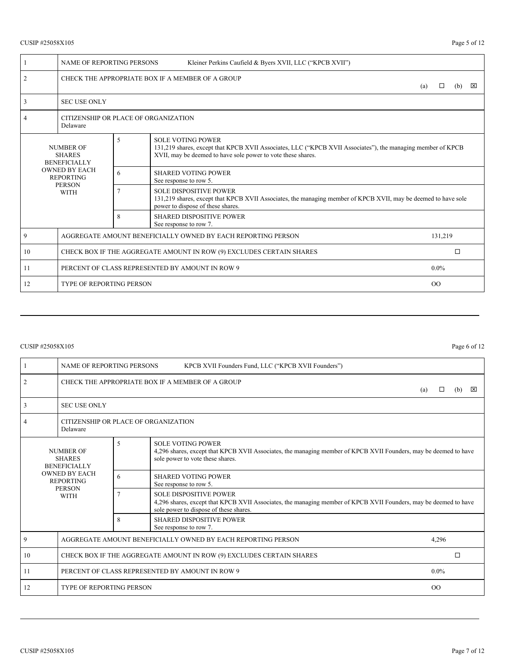# CUSIP #25058X105 Page 5 of 12

|                                                                                                                                      | <b>NAME OF REPORTING PERSONS</b><br>Kleiner Perkins Caufield & Byers XVII, LLC ("KPCB XVII") |                                                                                                                                                                                      |                                                                                                                                                                                                         |  |  |  |  |  |  |
|--------------------------------------------------------------------------------------------------------------------------------------|----------------------------------------------------------------------------------------------|--------------------------------------------------------------------------------------------------------------------------------------------------------------------------------------|---------------------------------------------------------------------------------------------------------------------------------------------------------------------------------------------------------|--|--|--|--|--|--|
| $\overline{2}$                                                                                                                       |                                                                                              | CHECK THE APPROPRIATE BOX IF A MEMBER OF A GROUP<br>(b)<br>⊠<br>(a)<br>Л                                                                                                             |                                                                                                                                                                                                         |  |  |  |  |  |  |
| 3                                                                                                                                    | <b>SEC USE ONLY</b>                                                                          |                                                                                                                                                                                      |                                                                                                                                                                                                         |  |  |  |  |  |  |
| 4                                                                                                                                    | Delaware                                                                                     | CITIZENSHIP OR PLACE OF ORGANIZATION                                                                                                                                                 |                                                                                                                                                                                                         |  |  |  |  |  |  |
| <b>NUMBER OF</b><br><b>SHARES</b><br><b>BENEFICIALLY</b><br><b>OWNED BY EACH</b><br><b>REPORTING</b><br><b>PERSON</b><br><b>WITH</b> |                                                                                              | 5                                                                                                                                                                                    | <b>SOLE VOTING POWER</b><br>131,219 shares, except that KPCB XVII Associates, LLC ("KPCB XVII Associates"), the managing member of KPCB<br>XVII, may be deemed to have sole power to vote these shares. |  |  |  |  |  |  |
|                                                                                                                                      |                                                                                              | 6                                                                                                                                                                                    | <b>SHARED VOTING POWER</b><br>See response to row 5.                                                                                                                                                    |  |  |  |  |  |  |
|                                                                                                                                      |                                                                                              | <b>SOLE DISPOSITIVE POWER</b><br>131,219 shares, except that KPCB XVII Associates, the managing member of KPCB XVII, may be deemed to have sole<br>power to dispose of these shares. |                                                                                                                                                                                                         |  |  |  |  |  |  |
|                                                                                                                                      |                                                                                              | 8                                                                                                                                                                                    | <b>SHARED DISPOSITIVE POWER</b><br>See response to row 7.                                                                                                                                               |  |  |  |  |  |  |
| 9                                                                                                                                    | AGGREGATE AMOUNT BENEFICIALLY OWNED BY EACH REPORTING PERSON<br>131,219                      |                                                                                                                                                                                      |                                                                                                                                                                                                         |  |  |  |  |  |  |
| 10                                                                                                                                   | CHECK BOX IF THE AGGREGATE AMOUNT IN ROW (9) EXCLUDES CERTAIN SHARES<br>$\Box$               |                                                                                                                                                                                      |                                                                                                                                                                                                         |  |  |  |  |  |  |
| 11                                                                                                                                   | PERCENT OF CLASS REPRESENTED BY AMOUNT IN ROW 9<br>$0.0\%$                                   |                                                                                                                                                                                      |                                                                                                                                                                                                         |  |  |  |  |  |  |
| 12                                                                                                                                   | <b>TYPE OF REPORTING PERSON</b><br>O <sub>O</sub>                                            |                                                                                                                                                                                      |                                                                                                                                                                                                         |  |  |  |  |  |  |

# CUSIP #25058X105 Page 6 of 12

|                                                          | <b>NAME OF REPORTING PERSONS</b><br>KPCB XVII Founders Fund, LLC ("KPCB XVII Founders") |                                      |                                                                                                                                                                                             |  |  |  |  |  |  |
|----------------------------------------------------------|-----------------------------------------------------------------------------------------|--------------------------------------|---------------------------------------------------------------------------------------------------------------------------------------------------------------------------------------------|--|--|--|--|--|--|
| $\overline{2}$                                           | CHECK THE APPROPRIATE BOX IF A MEMBER OF A GROUP<br>⊠<br>(a)<br>П<br>(b)                |                                      |                                                                                                                                                                                             |  |  |  |  |  |  |
| 3                                                        | <b>SEC USE ONLY</b>                                                                     |                                      |                                                                                                                                                                                             |  |  |  |  |  |  |
| 4                                                        | Delaware                                                                                | CITIZENSHIP OR PLACE OF ORGANIZATION |                                                                                                                                                                                             |  |  |  |  |  |  |
| <b>NUMBER OF</b><br><b>SHARES</b><br><b>BENEFICIALLY</b> |                                                                                         | 5                                    | <b>SOLE VOTING POWER</b><br>4,296 shares, except that KPCB XVII Associates, the managing member of KPCB XVII Founders, may be deemed to have<br>sole power to vote these shares.            |  |  |  |  |  |  |
|                                                          | <b>OWNED BY EACH</b><br><b>REPORTING</b><br><b>PERSON</b><br><b>WITH</b>                |                                      | <b>SHARED VOTING POWER</b><br>6<br>See response to row 5.                                                                                                                                   |  |  |  |  |  |  |
|                                                          |                                                                                         |                                      | <b>SOLE DISPOSITIVE POWER</b><br>4,296 shares, except that KPCB XVII Associates, the managing member of KPCB XVII Founders, may be deemed to have<br>sole power to dispose of these shares. |  |  |  |  |  |  |
|                                                          |                                                                                         |                                      | <b>SHARED DISPOSITIVE POWER</b><br>See response to row 7.                                                                                                                                   |  |  |  |  |  |  |
| 9                                                        | AGGREGATE AMOUNT BENEFICIALLY OWNED BY EACH REPORTING PERSON<br>4,296                   |                                      |                                                                                                                                                                                             |  |  |  |  |  |  |
| 10                                                       | □<br>CHECK BOX IF THE AGGREGATE AMOUNT IN ROW (9) EXCLUDES CERTAIN SHARES               |                                      |                                                                                                                                                                                             |  |  |  |  |  |  |
| 11                                                       | PERCENT OF CLASS REPRESENTED BY AMOUNT IN ROW 9<br>$0.0\%$                              |                                      |                                                                                                                                                                                             |  |  |  |  |  |  |
| 12                                                       | <b>TYPE OF REPORTING PERSON</b><br>O <sub>O</sub>                                       |                                      |                                                                                                                                                                                             |  |  |  |  |  |  |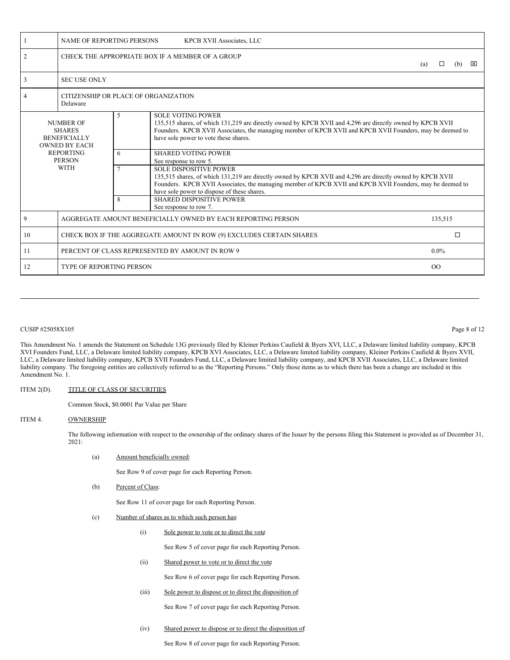|                                                                                       | NAME OF REPORTING PERSONS<br>KPCB XVII Associates, LLC                    |                                                                          |                                                                                                                                                                                                                                                                                                         |  |         |  |  |  |  |  |
|---------------------------------------------------------------------------------------|---------------------------------------------------------------------------|--------------------------------------------------------------------------|---------------------------------------------------------------------------------------------------------------------------------------------------------------------------------------------------------------------------------------------------------------------------------------------------------|--|---------|--|--|--|--|--|
| $\overline{2}$                                                                        |                                                                           | CHECK THE APPROPRIATE BOX IF A MEMBER OF A GROUP<br>(b)<br>⊠<br>□<br>(a) |                                                                                                                                                                                                                                                                                                         |  |         |  |  |  |  |  |
| 3                                                                                     | <b>SEC USE ONLY</b>                                                       |                                                                          |                                                                                                                                                                                                                                                                                                         |  |         |  |  |  |  |  |
|                                                                                       | CITIZENSHIP OR PLACE OF ORGANIZATION<br>Delaware                          |                                                                          |                                                                                                                                                                                                                                                                                                         |  |         |  |  |  |  |  |
| 5<br><b>NUMBER OF</b><br><b>SHARES</b><br><b>BENEFICIALLY</b><br><b>OWNED BY EACH</b> |                                                                           |                                                                          | <b>SOLE VOTING POWER</b><br>135,515 shares, of which 131,219 are directly owned by KPCB XVII and 4,296 are directly owned by KPCB XVII<br>Founders. KPCB XVII Associates, the managing member of KPCB XVII and KPCB XVII Founders, may be deemed to<br>have sole power to vote these shares.            |  |         |  |  |  |  |  |
|                                                                                       | <b>REPORTING</b><br><b>PERSON</b>                                         |                                                                          | <b>SHARED VOTING POWER</b><br>See response to row 5.                                                                                                                                                                                                                                                    |  |         |  |  |  |  |  |
| <b>WITH</b>                                                                           |                                                                           | 7                                                                        | <b>SOLE DISPOSITIVE POWER</b><br>135,515 shares, of which 131,219 are directly owned by KPCB XVII and 4,296 are directly owned by KPCB XVII<br>Founders. KPCB XVII Associates, the managing member of KPCB XVII and KPCB XVII Founders, may be deemed to<br>have sole power to dispose of these shares. |  |         |  |  |  |  |  |
|                                                                                       |                                                                           | 8                                                                        | <b>SHARED DISPOSITIVE POWER</b><br>See response to row 7.                                                                                                                                                                                                                                               |  |         |  |  |  |  |  |
| 9                                                                                     | AGGREGATE AMOUNT BENEFICIALLY OWNED BY EACH REPORTING PERSON<br>135,515   |                                                                          |                                                                                                                                                                                                                                                                                                         |  |         |  |  |  |  |  |
| 10                                                                                    | CHECK BOX IF THE AGGREGATE AMOUNT IN ROW (9) EXCLUDES CERTAIN SHARES<br>□ |                                                                          |                                                                                                                                                                                                                                                                                                         |  |         |  |  |  |  |  |
| 11                                                                                    | PERCENT OF CLASS REPRESENTED BY AMOUNT IN ROW 9                           |                                                                          |                                                                                                                                                                                                                                                                                                         |  | $0.0\%$ |  |  |  |  |  |
| 12                                                                                    | <b>TYPE OF REPORTING PERSON</b><br>O <sub>O</sub>                         |                                                                          |                                                                                                                                                                                                                                                                                                         |  |         |  |  |  |  |  |

### CUSIP #25058X105 Page 8 of 12

This Amendment No. 1 amends the Statement on Schedule 13G previously filed by Kleiner Perkins Caufield & Byers XVI, LLC, a Delaware limited liability company, KPCB XVI Founders Fund, LLC, a Delaware limited liability company, KPCB XVI Associates, LLC, a Delaware limited liability company, Kleiner Perkins Caufield & Byers XVII, LLC, a Delaware limited liability company, KPCB XVII Founders Fund, LLC, a Delaware limited liability company, and KPCB XVII Associates, LLC, a Delaware limited liability company. The foregoing entities are collectively referred to as the "Reporting Persons." Only those items as to which there has been a change are included in this Amendment No. 1.

### ITEM 2(D). TITLE OF CLASS OF SECURITIES

Common Stock, \$0.0001 Par Value per Share

#### ITEM 4. OWNERSHIP

The following information with respect to the ownership of the ordinary shares of the Issuer by the persons filing this Statement is provided as of December 31, 2021:

(a) Amount beneficially owned:

See Row 9 of cover page for each Reporting Person.

(b) Percent of Class:

See Row 11 of cover page for each Reporting Person.

- (c) Number of shares as to which such person has:
	- (i) Sole power to vote or to direct the vote

See Row 5 of cover page for each Reporting Person.

(ii) Shared power to vote or to direct the vote

See Row 6 of cover page for each Reporting Person.

(iii) Sole power to dispose or to direct the disposition of

See Row 7 of cover page for each Reporting Person.

(iv) Shared power to dispose or to direct the disposition of:

See Row 8 of cover page for each Reporting Person.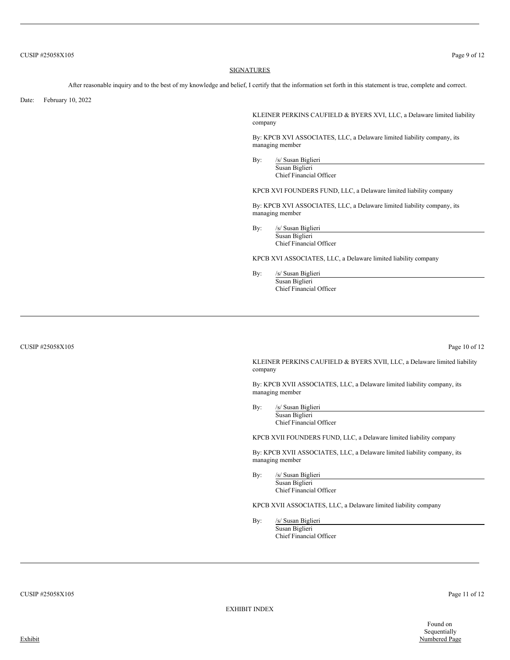#### **SIGNATURES**

After reasonable inquiry and to the best of my knowledge and belief, I certify that the information set forth in this statement is true, complete and correct.

Date: February 10, 2022

KLEINER PERKINS CAUFIELD & BYERS XVI, LLC, a Delaware limited liability company

By: KPCB XVI ASSOCIATES, LLC, a Delaware limited liability company, its managing member

By: /s/ Susan Biglieri Susan Biglieri Chief Financial Officer

KPCB XVI FOUNDERS FUND, LLC, a Delaware limited liability company

By: KPCB XVI ASSOCIATES, LLC, a Delaware limited liability company, its managing member

By: /s/ Susan Biglieri Susan Biglieri Chief Financial Officer

KPCB XVI ASSOCIATES, LLC, a Delaware limited liability company

By: /s/ Susan Biglieri Susan Biglieri Chief Financial Officer

CUSIP #25058X105 Page 10 of 12

KLEINER PERKINS CAUFIELD & BYERS XVII, LLC, a Delaware limited liability company

By: KPCB XVII ASSOCIATES, LLC, a Delaware limited liability company, its managing member

By: /s/ Susan Biglieri Susan Biglieri Chief Financial Officer

KPCB XVII FOUNDERS FUND, LLC, a Delaware limited liability company

By: KPCB XVII ASSOCIATES, LLC, a Delaware limited liability company, its managing member

By: /s/ Susan Biglieri Susan Biglieri Chief Financial Officer

KPCB XVII ASSOCIATES, LLC, a Delaware limited liability company

By: /s/ Susan Biglieri Susan Biglieri Chief Financial Officer